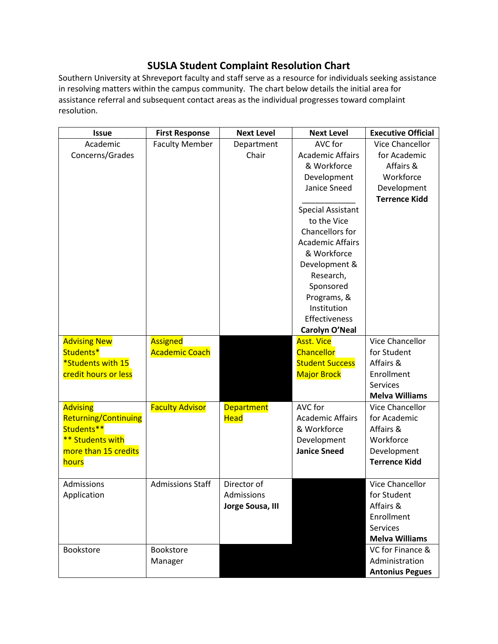## **SUSLA Student Complaint Resolution Chart**

Southern University at Shreveport faculty and staff serve as a resource for individuals seeking assistance in resolving matters within the campus community. The chart below details the initial area for assistance referral and subsequent contact areas as the individual progresses toward complaint resolution.

| <b>Issue</b>                | <b>First Response</b>   | <b>Next Level</b> | <b>Next Level</b>        | <b>Executive Official</b> |
|-----------------------------|-------------------------|-------------------|--------------------------|---------------------------|
| Academic                    | <b>Faculty Member</b>   | Department        | AVC for                  | Vice Chancellor           |
| Concerns/Grades             |                         | Chair             | <b>Academic Affairs</b>  | for Academic              |
|                             |                         |                   | & Workforce              | Affairs &                 |
|                             |                         |                   | Development              | Workforce                 |
|                             |                         |                   | Janice Sneed             | Development               |
|                             |                         |                   |                          | <b>Terrence Kidd</b>      |
|                             |                         |                   | <b>Special Assistant</b> |                           |
|                             |                         |                   | to the Vice              |                           |
|                             |                         |                   | Chancellors for          |                           |
|                             |                         |                   | <b>Academic Affairs</b>  |                           |
|                             |                         |                   | & Workforce              |                           |
|                             |                         |                   | Development &            |                           |
|                             |                         |                   | Research,                |                           |
|                             |                         |                   | Sponsored                |                           |
|                             |                         |                   | Programs, &              |                           |
|                             |                         |                   | Institution              |                           |
|                             |                         |                   | Effectiveness            |                           |
|                             |                         |                   | Carolyn O'Neal           |                           |
| <b>Advising New</b>         | Assigned                |                   | <b>Asst. Vice</b>        | Vice Chancellor           |
| Students*                   | <b>Academic Coach</b>   |                   | Chancellor               | for Student               |
| *Students with 15           |                         |                   | <b>Student Success</b>   | Affairs &                 |
| credit hours or less        |                         |                   | <b>Major Brock</b>       | Enrollment                |
|                             |                         |                   |                          | <b>Services</b>           |
|                             |                         |                   |                          | <b>Melva Williams</b>     |
| <b>Advising</b>             | <b>Faculty Advisor</b>  | <b>Department</b> | AVC for                  | Vice Chancellor           |
| <b>Returning/Continuing</b> |                         | <b>Head</b>       | <b>Academic Affairs</b>  | for Academic              |
| Students**                  |                         |                   | & Workforce              | Affairs &                 |
| ** Students with            |                         |                   | Development              | Workforce                 |
| more than 15 credits        |                         |                   | <b>Janice Sneed</b>      | Development               |
| <b>hours</b>                |                         |                   |                          | <b>Terrence Kidd</b>      |
|                             |                         |                   |                          |                           |
| Admissions                  | <b>Admissions Staff</b> | Director of       |                          | Vice Chancellor           |
| Application                 |                         | Admissions        |                          | for Student               |
|                             |                         | Jorge Sousa, III  |                          | Affairs &                 |
|                             |                         |                   |                          | Enrollment                |
|                             |                         |                   |                          | <b>Services</b>           |
|                             |                         |                   |                          | <b>Melva Williams</b>     |
| <b>Bookstore</b>            | Bookstore               |                   |                          | VC for Finance &          |
|                             | Manager                 |                   |                          | Administration            |
|                             |                         |                   |                          | <b>Antonius Pegues</b>    |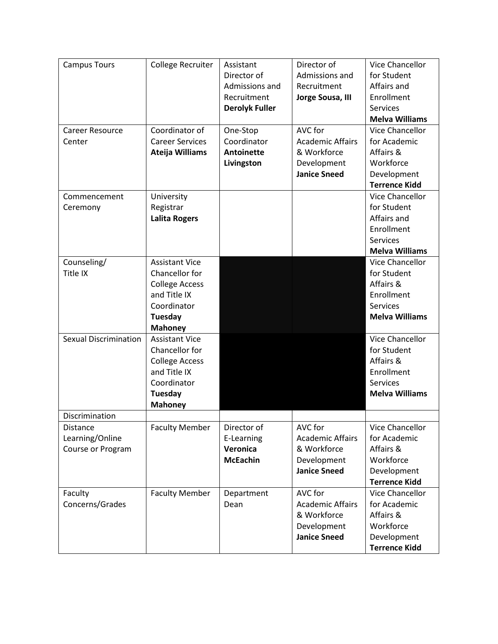| <b>Campus Tours</b>          | <b>College Recruiter</b> | Assistant             | Director of             | <b>Vice Chancellor</b> |
|------------------------------|--------------------------|-----------------------|-------------------------|------------------------|
|                              |                          | Director of           | Admissions and          | for Student            |
|                              |                          | Admissions and        | Recruitment             | Affairs and            |
|                              |                          | Recruitment           | Jorge Sousa, III        | Enrollment             |
|                              |                          | <b>Derolyk Fuller</b> |                         | <b>Services</b>        |
|                              |                          |                       |                         | <b>Melva Williams</b>  |
| <b>Career Resource</b>       | Coordinator of           | One-Stop              | AVC for                 | Vice Chancellor        |
| Center                       | <b>Career Services</b>   | Coordinator           | <b>Academic Affairs</b> | for Academic           |
|                              | Ateija Williams          | <b>Antoinette</b>     | & Workforce             | Affairs &              |
|                              |                          | Livingston            | Development             | Workforce              |
|                              |                          |                       | <b>Janice Sneed</b>     | Development            |
|                              |                          |                       |                         | <b>Terrence Kidd</b>   |
| Commencement                 | University               |                       |                         | Vice Chancellor        |
| Ceremony                     | Registrar                |                       |                         | for Student            |
|                              | <b>Lalita Rogers</b>     |                       |                         | Affairs and            |
|                              |                          |                       |                         | Enrollment             |
|                              |                          |                       |                         | <b>Services</b>        |
|                              |                          |                       |                         | <b>Melva Williams</b>  |
| Counseling/                  | <b>Assistant Vice</b>    |                       |                         | Vice Chancellor        |
| Title IX                     | Chancellor for           |                       |                         | for Student            |
|                              | <b>College Access</b>    |                       |                         | Affairs &              |
|                              | and Title IX             |                       |                         | Enrollment             |
|                              | Coordinator              |                       |                         | <b>Services</b>        |
|                              | Tuesday                  |                       |                         | <b>Melva Williams</b>  |
|                              | <b>Mahoney</b>           |                       |                         |                        |
| <b>Sexual Discrimination</b> | <b>Assistant Vice</b>    |                       |                         | Vice Chancellor        |
|                              | Chancellor for           |                       |                         | for Student            |
|                              | <b>College Access</b>    |                       |                         | Affairs &              |
|                              | and Title IX             |                       |                         | Enrollment             |
|                              | Coordinator              |                       |                         | <b>Services</b>        |
|                              | <b>Tuesday</b>           |                       |                         | <b>Melva Williams</b>  |
|                              | <b>Mahoney</b>           |                       |                         |                        |
| Discrimination               |                          |                       |                         |                        |
| <b>Distance</b>              | <b>Faculty Member</b>    | Director of           | AVC for                 | Vice Chancellor        |
| Learning/Online              |                          | E-Learning            | <b>Academic Affairs</b> | for Academic           |
| Course or Program            |                          | Veronica              | & Workforce             | Affairs &              |
|                              |                          | <b>McEachin</b>       | Development             | Workforce              |
|                              |                          |                       | <b>Janice Sneed</b>     | Development            |
|                              |                          |                       |                         | <b>Terrence Kidd</b>   |
| Faculty                      | <b>Faculty Member</b>    | Department            | AVC for                 | Vice Chancellor        |
| Concerns/Grades              |                          | Dean                  | <b>Academic Affairs</b> | for Academic           |
|                              |                          |                       | & Workforce             | Affairs &              |
|                              |                          |                       | Development             | Workforce              |
|                              |                          |                       | <b>Janice Sneed</b>     | Development            |
|                              |                          |                       |                         | <b>Terrence Kidd</b>   |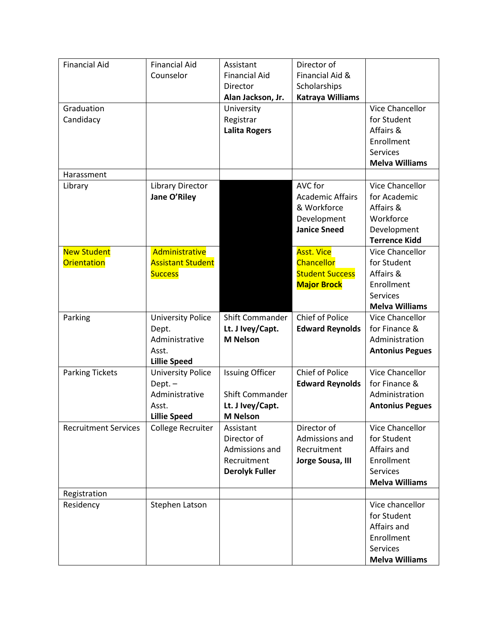| <b>Financial Aid</b>        | <b>Financial Aid</b>     | Assistant              | Director of             |                        |
|-----------------------------|--------------------------|------------------------|-------------------------|------------------------|
|                             | Counselor                | <b>Financial Aid</b>   | Financial Aid &         |                        |
|                             |                          | Director               | Scholarships            |                        |
|                             |                          | Alan Jackson, Jr.      | <b>Katraya Williams</b> |                        |
| Graduation                  |                          | University             |                         | Vice Chancellor        |
| Candidacy                   |                          | Registrar              |                         | for Student            |
|                             |                          | <b>Lalita Rogers</b>   |                         | Affairs &              |
|                             |                          |                        |                         | Enrollment             |
|                             |                          |                        |                         | <b>Services</b>        |
|                             |                          |                        |                         | <b>Melva Williams</b>  |
| Harassment                  |                          |                        |                         |                        |
| Library                     | Library Director         |                        | AVC for                 | Vice Chancellor        |
|                             | Jane O'Riley             |                        | <b>Academic Affairs</b> | for Academic           |
|                             |                          |                        | & Workforce             | Affairs &              |
|                             |                          |                        | Development             | Workforce              |
|                             |                          |                        | <b>Janice Sneed</b>     | Development            |
|                             |                          |                        |                         | <b>Terrence Kidd</b>   |
| <b>New Student</b>          | Administrative           |                        | <b>Asst. Vice</b>       | Vice Chancellor        |
| <b>Orientation</b>          | <b>Assistant Student</b> |                        | <b>Chancellor</b>       | for Student            |
|                             | <b>Success</b>           |                        | <b>Student Success</b>  | Affairs &              |
|                             |                          |                        | <b>Major Brock</b>      | Enrollment             |
|                             |                          |                        |                         | <b>Services</b>        |
|                             |                          |                        |                         | <b>Melva Williams</b>  |
| Parking                     | <b>University Police</b> | Shift Commander        | Chief of Police         | Vice Chancellor        |
|                             | Dept.                    | Lt. J Ivey/Capt.       | <b>Edward Reynolds</b>  | for Finance &          |
|                             | Administrative           | <b>M</b> Nelson        |                         | Administration         |
|                             | Asst.                    |                        |                         | <b>Antonius Pegues</b> |
|                             | <b>Lillie Speed</b>      |                        |                         |                        |
| <b>Parking Tickets</b>      | <b>University Police</b> | <b>Issuing Officer</b> | Chief of Police         | Vice Chancellor        |
|                             | $Dept. -$                |                        | <b>Edward Reynolds</b>  | for Finance &          |
|                             | Administrative           | <b>Shift Commander</b> |                         | Administration         |
|                             | Asst.                    | Lt. J Ivey/Capt.       |                         | <b>Antonius Pegues</b> |
|                             | <b>Lillie Speed</b>      | <b>M</b> Nelson        |                         |                        |
| <b>Recruitment Services</b> | <b>College Recruiter</b> | Assistant              | Director of             | Vice Chancellor        |
|                             |                          | Director of            | Admissions and          | for Student            |
|                             |                          | Admissions and         | Recruitment             | Affairs and            |
|                             |                          | Recruitment            | Jorge Sousa, III        | Enrollment             |
|                             |                          | <b>Derolyk Fuller</b>  |                         | <b>Services</b>        |
|                             |                          |                        |                         | <b>Melva Williams</b>  |
| Registration                |                          |                        |                         |                        |
| Residency                   | Stephen Latson           |                        |                         | Vice chancellor        |
|                             |                          |                        |                         | for Student            |
|                             |                          |                        |                         | Affairs and            |
|                             |                          |                        |                         | Enrollment             |
|                             |                          |                        |                         | Services               |
|                             |                          |                        |                         |                        |
|                             |                          |                        |                         | <b>Melva Williams</b>  |